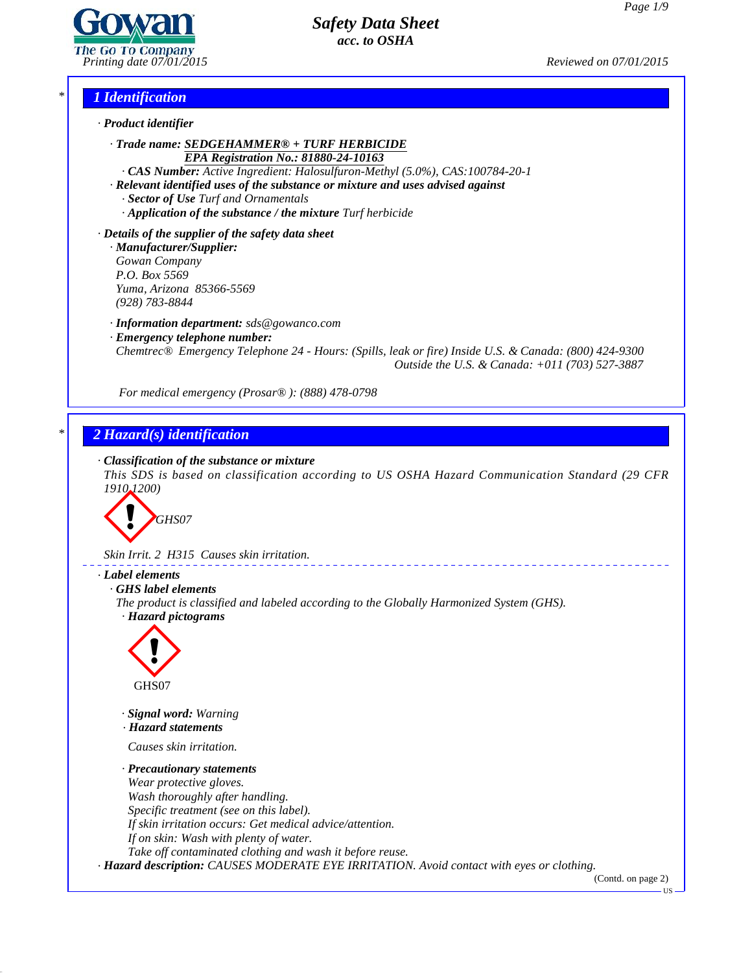*Page 1/9*

*Printing date 07/01/2015 Reviewed on 07/01/2015*

### *\* 1 Identification*



*· Trade name: SEDGEHAMMER® + TURF HERBICIDE EPA Registration No.: 81880-24-10163*

*· CAS Number: Active Ingredient: Halosulfuron-Methyl (5.0%), CAS:100784-20-1*

- *· Relevant identified uses of the substance or mixture and uses advised against*
	- *· Sector of Use Turf and Ornamentals*
	- *· Application of the substance / the mixture Turf herbicide*

*· Details of the supplier of the safety data sheet*

*· Manufacturer/Supplier: Gowan Company P.O. Box 5569 Yuma, Arizona 85366-5569 (928) 783-8844*

*· Information department: sds@gowanco.com*

*· Emergency telephone number:*

*Chemtrec® Emergency Telephone 24 - Hours: (Spills, leak or fire) Inside U.S. & Canada: (800) 424-9300 Outside the U.S. & Canada: +011 (703) 527-3887*

*For medical emergency (Prosar® ): (888) 478-0798*

## *\* 2 Hazard(s) identification*

## *· Classification of the substance or mixture*

*This SDS is based on classification according to US OSHA Hazard Communication Standard (29 CFR 1910.1200)*



*Skin Irrit. 2 H315 Causes skin irritation.*

## *· Label elements*

*· GHS label elements*

*The product is classified and labeled according to the Globally Harmonized System (GHS). · Hazard pictograms*



41.0

- *· Signal word: Warning*
- *· Hazard statements*

*CHS07<br>Signal word: Warning<br>Hazard statements<br>Causes skin irritation.<br>Precautionary statem* 

# *· Precautionary statements*

*Wear protective gloves. Wash thoroughly after handling. Specific treatment (see on this label). If skin irritation occurs: Get medical advice/attention. If on skin: Wash with plenty of water. Take of contaminated clothing and wash it before reuse.*

*· Hazard description: CAUSES MODERATE EYE IRRITATION. Avoid contact with eyes or clothing.*

(Contd. on page 2)

US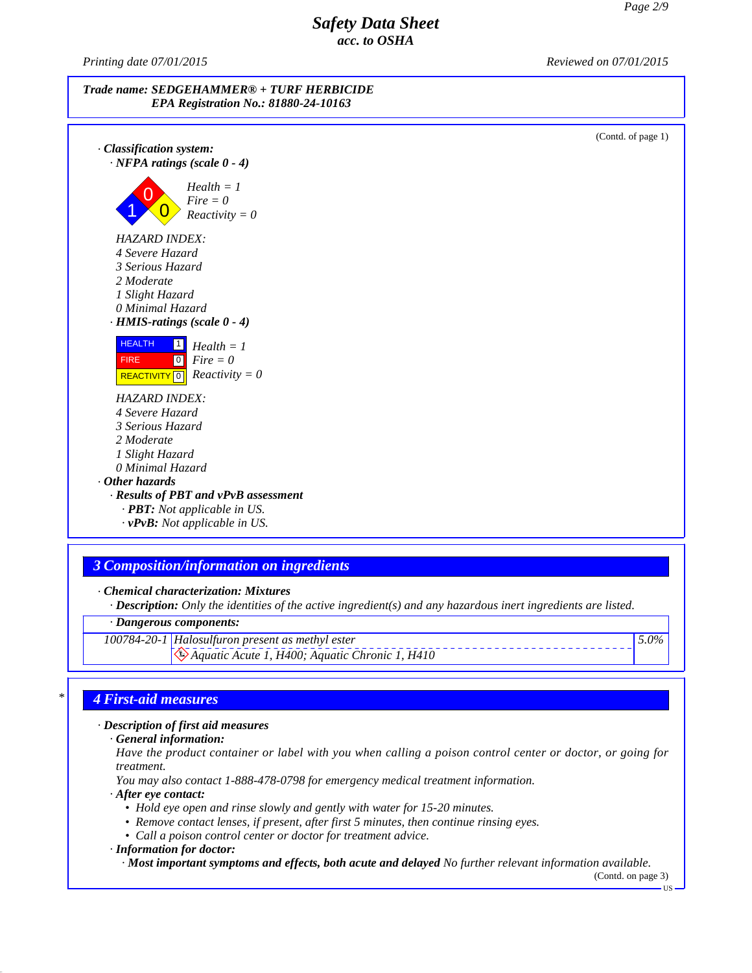*Printing date 07/01/2015 Reviewed on 07/01/2015*



*· Chemical characterization: Mixtures*

*· Description: Only the identities of the active ingredient(s) and any hazardous inert ingredients are listed.*

*· Dangerous components:*

*100784-20-1 Halosulfuron present as methyl ester*

*Aquatic Acute 1, H400; Aquatic Chronic 1, H410*

## *\* 4 First-aid measures*

*· Description of first aid measures*

*· General information:*

Have the product container or label with you when calling a poison control center or doctor, or going for *treatment.*

*You may also contact 1-888-478-0798 for emergency medical treatment information.*

*· After eye contact:*

41.0

- *• Hold eye open and rinse slowly and gently with water for 15-20 minutes.*
- *• Remove contact lenses, if present, after first 5 minutes, then continue rinsing eyes.*
- *• Call a poison control center or doctor for treatment advice.*

*· Information for doctor:*

*· Most important symptoms and effects, both acute and delayed No further relevant information available.*

(Contd. on page 3)US

*5.0%*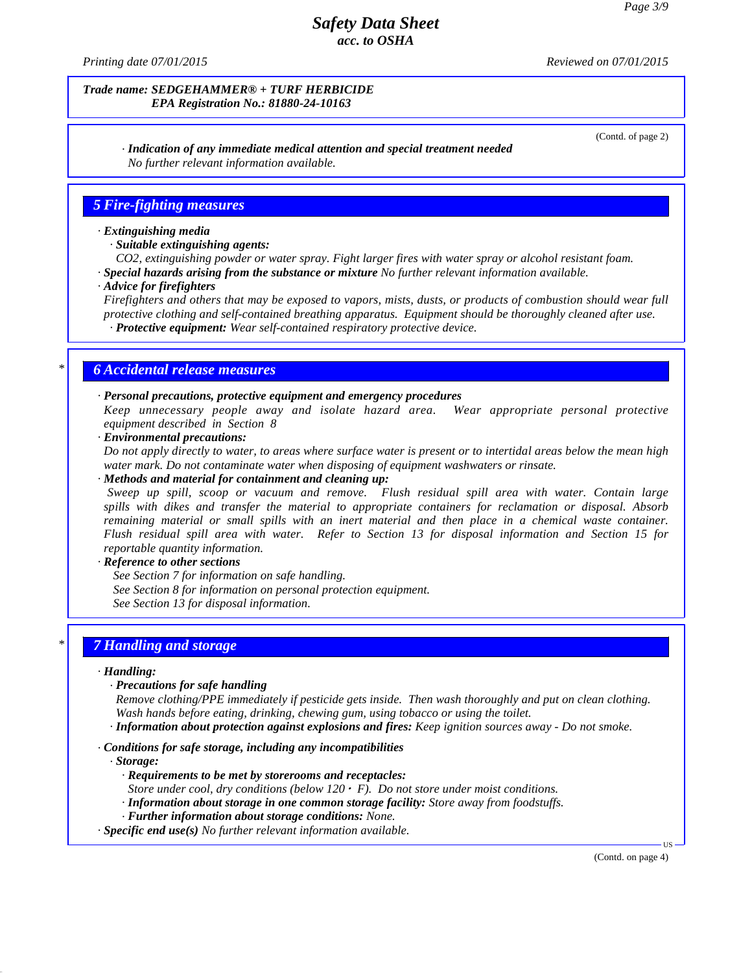*Printing date 07/01/2015 Reviewed on 07/01/2015*

#### *Trade name: SEDGEHAMMER® + TURF HERBICIDE EPA Registration No.: 81880-24-10163*

(Contd. of page 2)

#### *· Indication of any immediate medical attention and special treatment needed No further relevant information available.*

## *5 Fire-fighting measures*

### *· Extinguishing media*

- *· Suitable extinguishing agents:*
- *CO2, extinguishing powder or water spray. Fight larger fires with water spray or alcohol resistant foam.*
- *· Special hazards arising from the substance or mixture No further relevant information available.*
- *· Advice for firefighters*

Firefighters and others that may be exposed to vapors, mists, dusts, or products of combustion should wear full *protective clothing and self-contained breathing apparatus. Equipment should be thoroughly cleaned after use. · Protective equipment: Wear self-contained respiratory protective device.*

### *\* 6 Accidental release measures*

#### *· Personal precautions, protective equipment and emergency procedures*

*Keep unnecessary people away and isolate hazard area. Wear appropriate personal protective equipment described in Section 8*

*· Environmental precautions:*

Do not apply directly to water, to areas where surface water is present or to intertidal areas below the mean high *water mark. Do not contaminate water when disposing of equipment washwaters or rinsate.*

*· Methods and material for containment and cleaning up:*

*Sweep up spill, scoop or vacuum and remove. Flush residual spill area with water. Contain large spills with dikes and transfer the material to appropriate containers for reclamation or disposal. Absorb remaining material or small spills with an inert material and then place in a chemical waste container. Flush residual spill area with water. Refer to Section 13 for disposal information and Section 15 for reportable quantity information.*

#### *· Reference to other sections*

*See Section 7 for information on safe handling. See Section 8 for information on personal protection equipment. See Section 13 for disposal information.*

## *\* 7 Handling and storage*

#### *· Handling:*

*· Precautions for safe handling*

*Remove clothing/PPE immediately if pesticide gets inside. Then wash thoroughly and puton clean clothing. Wash hands before eating, drinking, chewing gum, using tobacco or using the toilet.*

*· Information about protection against explosions and fires: Keep ignition sources away - Do not smoke.*

*· Conditions for safe storage, including any incompatibilities*

*· Storage:*

41.0

- *· Requirements to be met by storerooms and receptacles:*
- *Store under cool, dry conditions (below 120 F). Do not store under moist conditions.*
- *· Information about storage in one common storage facility: Store away from foodstuf s.*
- *· Further information about storage conditions: None.*
- *· Specific end use(s) No further relevant information available.*

(Contd. on page 4)

 $\overline{US}$   $\longrightarrow$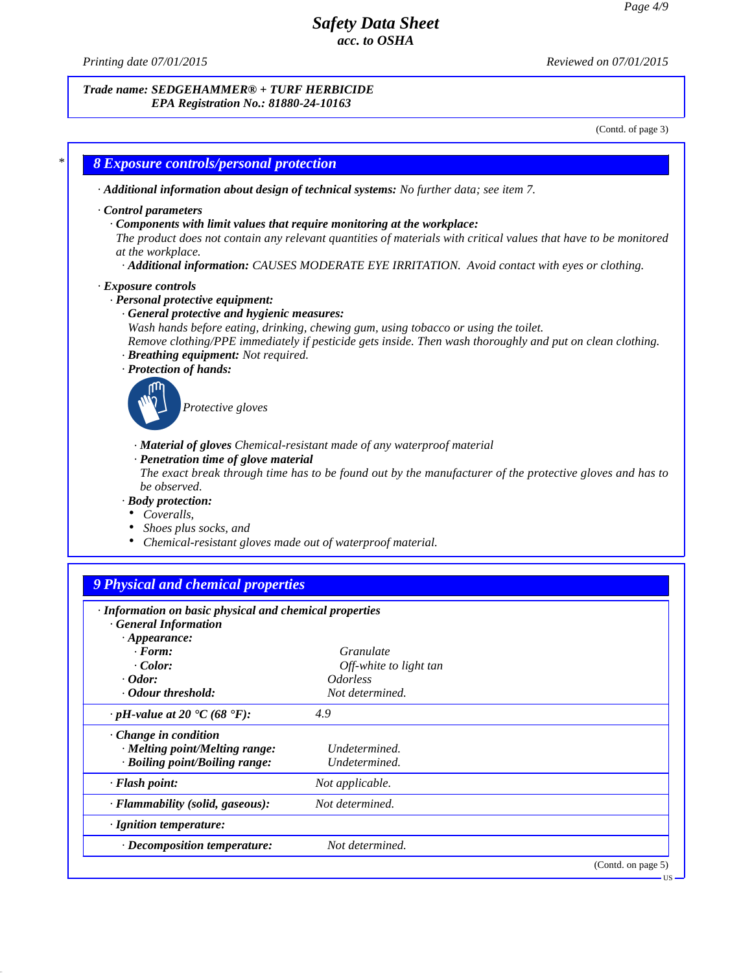41.0

*Printing date 07/01/2015 Reviewed on 07/01/2015*

#### *Trade name: SEDGEHAMMER® + TURF HERBICIDE EPA Registration No.: 81880-24-10163*

(Contd. of page 3)

|                                                                                                                                                                                               | · Additional information about design of technical systems: No further data; see item 7.                                                                                                                                                                                                     |
|-----------------------------------------------------------------------------------------------------------------------------------------------------------------------------------------------|----------------------------------------------------------------------------------------------------------------------------------------------------------------------------------------------------------------------------------------------------------------------------------------------|
| Control parameters<br>at the workplace.                                                                                                                                                       | Components with limit values that require monitoring at the workplace:<br>The product does not contain any relevant quantities of materials with critical values that have to be monitored<br>· Additional information: CAUSES MODERATE EYE IRRITATION. Avoid contact with eyes or clothing. |
| · Exposure controls<br>· Personal protective equipment:<br>· General protective and hygienic measures:<br>· Breathing equipment: Not required.<br>· Protection of hands:<br>Protective gloves | Wash hands before eating, drinking, chewing gum, using tobacco or using the toilet.<br>Remove clothing/PPE immediately if pesticide gets inside. Then wash thoroughly and put on clean clothing.                                                                                             |
| · Penetration time of glove material<br>be observed.<br>· Body protection:<br>Coveralls,<br>Shoes plus socks, and<br>Chemical-resistant gloves made out of waterproof material.               | · Material of gloves Chemical-resistant made of any waterproof material<br>The exact break through time has to be found out by the manufacturer of the protective gloves and has to                                                                                                          |
| <b>9 Physical and chemical properties</b>                                                                                                                                                     |                                                                                                                                                                                                                                                                                              |
|                                                                                                                                                                                               |                                                                                                                                                                                                                                                                                              |
| · Information on basic physical and chemical properties<br><b>General Information</b><br>$\cdot$ Appearance:<br>$\cdot$ Form:<br>$\cdot$ Color:                                               | Granulate<br>Off-white to light tan                                                                                                                                                                                                                                                          |
| $\cdot$ Odor:                                                                                                                                                                                 | <i>Odorless</i><br>Not determined.                                                                                                                                                                                                                                                           |
| <b>Odour threshold:</b><br>$\cdot$ pH-value at 20 $\text{°C}$ (68 $\text{°F}$ ):                                                                                                              | 4.9                                                                                                                                                                                                                                                                                          |
| Change in condition<br>· Melting point/Melting range:<br>· Boiling point/Boiling range:                                                                                                       | Undetermined.<br>Undetermined.                                                                                                                                                                                                                                                               |
| · Flash point:                                                                                                                                                                                | Not applicable.                                                                                                                                                                                                                                                                              |
| · Flammability (solid, gaseous):                                                                                                                                                              | Not determined.                                                                                                                                                                                                                                                                              |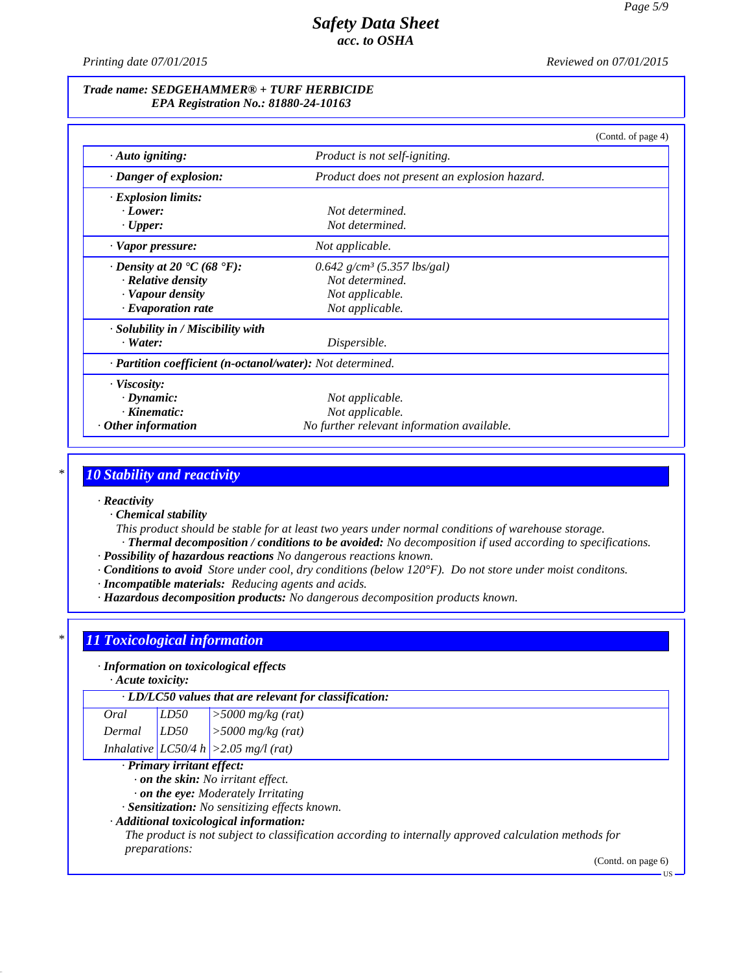*Printing date 07/01/2015 Reviewed on 07/01/2015*

#### *Trade name: SEDGEHAMMER® + TURF HERBICIDE EPA Registration No.: 81880-24-10163*

|                                                            |                                               | (Contd. of page 4) |
|------------------------------------------------------------|-----------------------------------------------|--------------------|
| $\cdot$ Auto igniting:                                     | Product is not self-igniting.                 |                    |
| Danger of explosion:                                       | Product does not present an explosion hazard. |                    |
| · Explosion limits:                                        |                                               |                    |
| $\cdot$ Lower:                                             | Not determined.                               |                    |
| $\cdot$ Upper:                                             | Not determined.                               |                    |
| · Vapor pressure:                                          | Not applicable.                               |                    |
| $\cdot$ Density at 20 $\cdot$ C (68 $\cdot$ F):            | $0.642$ g/cm <sup>3</sup> (5.357 lbs/gal)     |                    |
| · Relative density                                         | Not determined.                               |                    |
| · Vapour density                                           | Not applicable.                               |                    |
| $\cdot$ Evaporation rate                                   | Not applicable.                               |                    |
| · Solubility in / Miscibility with                         |                                               |                    |
| $\cdot$ Water:                                             | Dispersible.                                  |                    |
| · Partition coefficient (n-octanol/water): Not determined. |                                               |                    |
| · Viscosity:                                               |                                               |                    |
| $\cdot$ Dynamic:                                           | Not applicable.                               |                    |
| $\cdot$ Kinematic:                                         | Not applicable.                               |                    |
| $\cdot$ Other information                                  | No further relevant information available.    |                    |

## *\* 10 Stability and reactivity*

*· Reactivity*

*· Chemical stability*

*This product should be stable for at least two years under normal conditions of warehouse storage. · Thermal decomposition / conditions to be avoided: No decomposition if used according to specifications.*

- *· Possibility of hazardous reactions No dangerous reactions known.*
- *· Conditions to avoid Store under cool, dry conditions (below 120°F). Do not store under moist conditons.*
- *· Incompatible materials: Reducing agents and acids.*
- *· Hazardous decomposition products: No dangerous decomposition products known.*

## *\* 11 Toxicological information*

*· Information on toxicological effects*

*· Acute toxicity:*

41.0

| · LD/LC50 values that are relevant for classification: |      |                                         |
|--------------------------------------------------------|------|-----------------------------------------|
| Oral                                                   | LD50 | $\vert$ >5000 mg/kg (rat)               |
|                                                        |      | Dermal $LD50$ > 5000 mg/kg (rat)        |
|                                                        |      | Inhalative $LC50/4 h$ > 2.05 mg/l (rat) |

### *· Primary irritant effect:*

*· on the skin: No irritant ef ect.*

*· on the eye: Moderately Irritating*

*· Sensitization: No sensitizing ef ects known.*

#### *· Additional toxicological information:*

*The product is not subject to classification according to internally approved calculation methods for preparations:*

(Contd. on page 6)

<sup>&</sup>lt;sub>11</sub>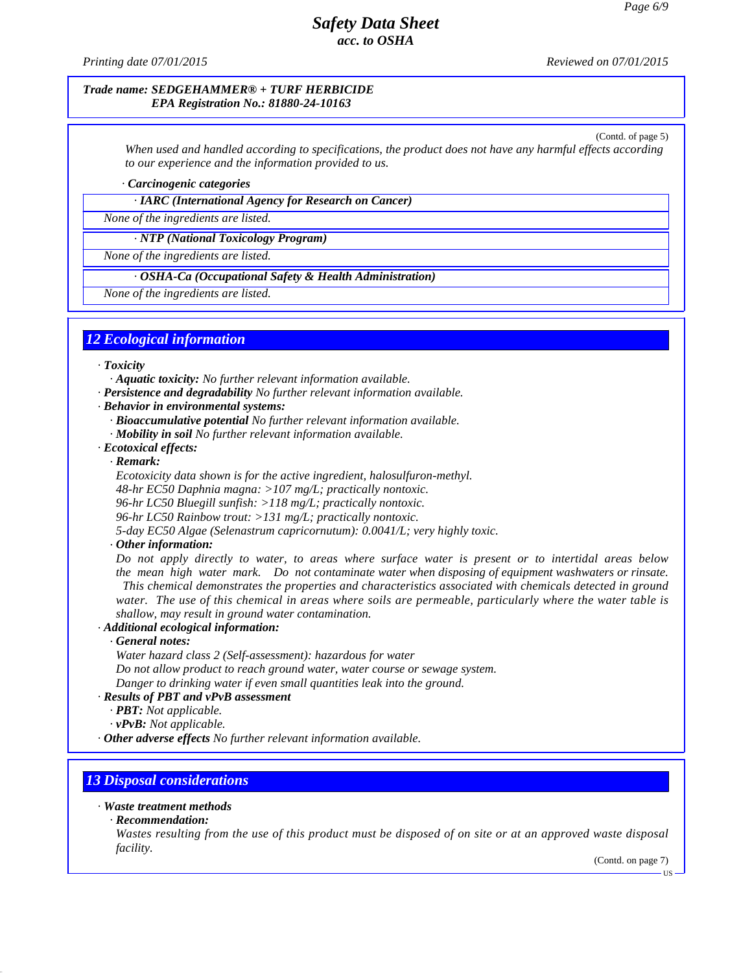*Printing date 07/01/2015 Reviewed on 07/01/2015*

#### *Trade name: SEDGEHAMMER® + TURF HERBICIDE EPA Registration No.: 81880-24-10163*

(Contd. of page 5) When used and handled according to specifications, the product does not have any harmful effects according *to our experience and the information provided to us.*

*· Carcinogenic categories*

*· IARC (International Agency for Research on Cancer)*

*None of the ingredients are listed.*

*· NTP (National Toxicology Program)*

*None of the ingredients are listed.*

*· OSHA-Ca (Occupational Safety & Health Administration)*

*None of the ingredients are listed.*

## *12 Ecological information*

#### *· Toxicity*

*· Aquatic toxicity: No further relevant information available.*

- *· Persistence and degradability No further relevant information available.*
- *· Behavior in environmental systems:*
	- *· Bioaccumulative potential No further relevant information available.*
	- *· Mobility in soil No further relevant information available.*
- *· Ecotoxical effects:*

*· Remark:*

*Ecotoxicity data shown is for the active ingredient, halosulfuron-methyl.*

*48-hr EC50 Daphnia magna: >107 mg/L; practically nontoxic.*

*96-hr LC50 Bluegill sunfish: >118 mg/L; practically nontoxic.*

*96-hr LC50 Rainbow trout: >131 mg/L; practically nontoxic.*

*5-day EC50 Algae (Selenastrum capricornutum): 0.0041/L; very highly toxic.*

#### *· Other information:*

Do not apply directly to water, to areas where surface water is present or to intertidal areas below *the mean high water mark. Do not contaminate water when disposing of equipment washwaters or rinsate. This chemical demonstrates the properties and characteristics associated with chemicals detected in ground* water. The use of this chemical in areas where soils are permeable, particularly where the water table is *shallow, may result in ground water contamination.*

### *· Additional ecological information:*

*· General notes:*

*Water hazard class 2 (Self-assessment): hazardous for water*

*Do not allow product to reach ground water, water course or sewage system.*

*Danger to drinking water ifeven small quantities leak into the ground.*

## *· Results of PBT and vPvB assessment*

*· PBT: Not applicable.*

*· vPvB: Not applicable.*

*· Other adverse effects No further relevant information available.*

## *13 Disposal considerations*

## *· Waste treatment methods*

*· Recommendation:*

41.0

Wastes resulting from the use of this product must be disposed of on site or at an approved waste disposal *facility.*

(Contd. on page 7)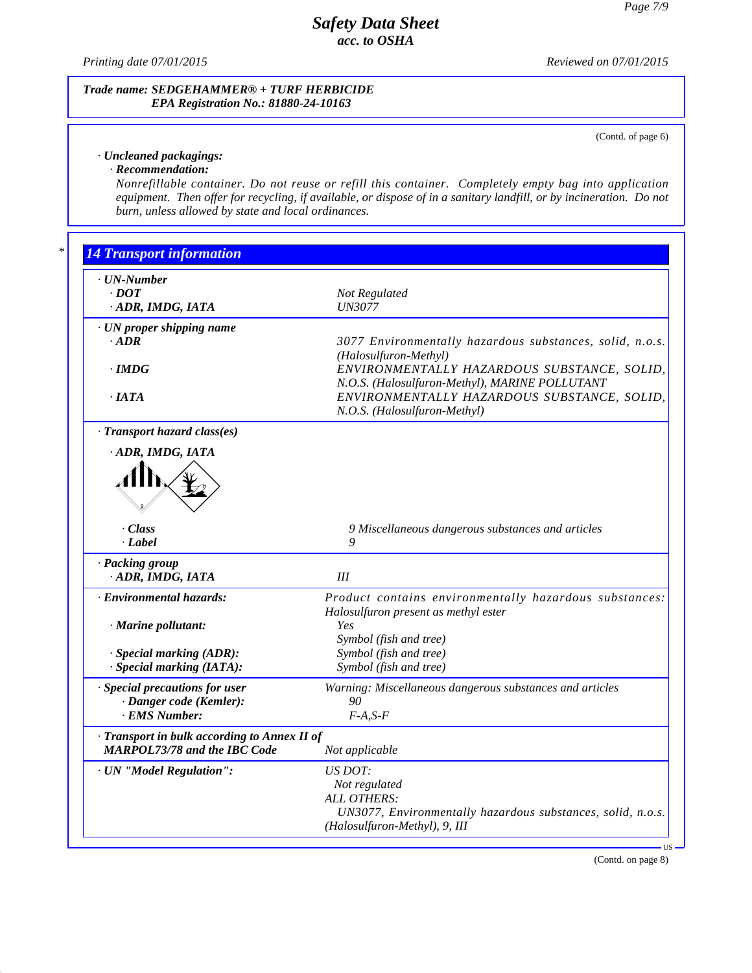*Printing date 07/01/2015 Reviewed on 07/01/2015*

### *Trade name: SEDGEHAMMER® + TURF HERBICIDE EPA Registration No.: 81880-24-10163*

(Contd. of page 6)

## *· Uncleaned packagings:*

## *· Recommendation:*

41.0

*Nonrefillable container. Do not reuse or refill this container. Completely empty bag into application* equipment. Then offer for recycling, if available, or dispose of in a sanitary landfill, or by incineration. Do not *burn, unless allowed by state and local ordinances.*

| · UN-Number                                |                                                                                               |
|--------------------------------------------|-----------------------------------------------------------------------------------------------|
| $\cdot$ DOT                                | Not Regulated                                                                                 |
| · ADR, IMDG, IATA                          | <b>UN3077</b>                                                                                 |
|                                            |                                                                                               |
| · UN proper shipping name                  |                                                                                               |
| $\cdot$ ADR                                | 3077 Environmentally hazardous substances, solid, n.o.s.                                      |
|                                            | (Halosulfuron-Methyl)                                                                         |
| $\cdot$ IMDG                               | ENVIRONMENTALLY HAZARDOUS SUBSTANCE, SOLID,                                                   |
| $\cdot$ IATA                               | N.O.S. (Halosulfuron-Methyl), MARINE POLLUTANT<br>ENVIRONMENTALLY HAZARDOUS SUBSTANCE, SOLID, |
|                                            |                                                                                               |
|                                            | N.O.S. (Halosulfuron-Methyl)                                                                  |
| · Transport hazard class(es)               |                                                                                               |
| ADR, IMDG, IATA                            |                                                                                               |
|                                            |                                                                                               |
|                                            |                                                                                               |
|                                            |                                                                                               |
|                                            |                                                                                               |
|                                            |                                                                                               |
| · Class                                    | 9 Miscellaneous dangerous substances and articles                                             |
| · Label                                    | 9                                                                                             |
| · Packing group                            |                                                                                               |
| · ADR, IMDG, IATA                          | III                                                                                           |
| <b>Environmental hazards:</b>              | Product contains environmentally hazardous substances:                                        |
|                                            | Halosulfuron present as methyl ester                                                          |
| · Marine pollutant:                        | Yes                                                                                           |
|                                            | Symbol (fish and tree)                                                                        |
| · Special marking (ADR):                   | Symbol (fish and tree)                                                                        |
| · Special marking (IATA):                  | Symbol (fish and tree)                                                                        |
|                                            |                                                                                               |
| · Special precautions for user             | Warning: Miscellaneous dangerous substances and articles                                      |
| · Danger code (Kemler):                    | 90                                                                                            |
| · EMS Number:                              | $F-A, S-F$                                                                                    |
| Transport in bulk according to Annex II of |                                                                                               |
| <b>MARPOL73/78 and the IBC Code</b>        | Not applicable                                                                                |
|                                            |                                                                                               |
| · UN "Model Regulation":                   | US DOT:                                                                                       |
|                                            | Not regulated                                                                                 |
|                                            | ALL OTHERS:                                                                                   |
|                                            | UN3077, Environmentally hazardous substances, solid, n.o.s.                                   |

(Contd. on page 8)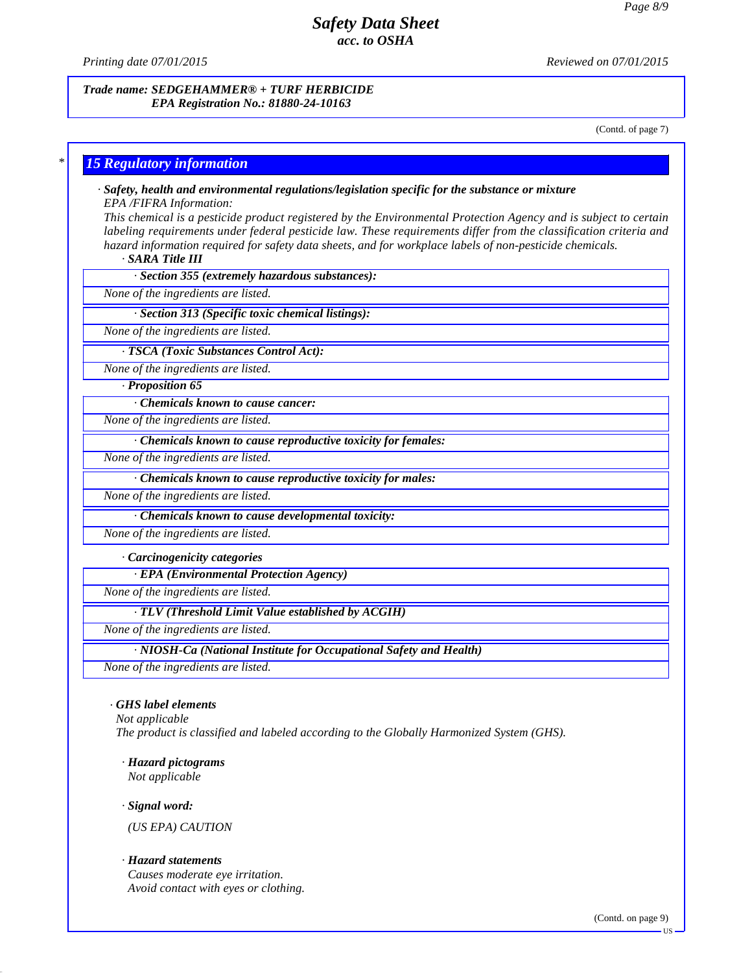*Printing date 07/01/2015 Reviewed on 07/01/2015*

#### *Trade name: SEDGEHAMMER® + TURF HERBICIDE EPA Registration No.: 81880-24-10163*

(Contd. of page 7)

## *\* 15 Regulatory information*

*· Safety, health and environmental regulations/legislation specific for the substance or mixture*

*EPA /FIFRA Information:*

This chemical is a pesticide product registered by the Environmental Protection Agency and is subject to certain *labeling requirements under federal pesticide law. These requirements differ from the classification criteria and hazard information required for safety data sheets, and for workplace labels of non-pesticide chemicals.*

*· SARA Title III*

*· Section 355 (extremely hazardous substances):*

*None of the ingredients are listed.*

*· Section 313 (Specific toxic chemical listings):*

*None of the ingredients are listed.*

*· TSCA (Toxic Substances Control Act):*

*None of the ingredients are listed.*

*· Proposition 65*

*· Chemicals known to cause cancer:*

*None of the ingredients are listed.*

*· Chemicals known to cause reproductive toxicity for females:*

*None of the ingredients are listed.*

*· Chemicals known to cause reproductive toxicity for males:*

*None of the ingredients are listed.*

*· Chemicals known to cause developmental toxicity:*

*None of the ingredients are listed.*

*· Carcinogenicity categories*

*· EPA (Environmental Protection Agency)*

*None of the ingredients are listed.*

*· TLV (Threshold Limit Value established by ACGIH)*

*None of the ingredients are listed.*

*· NIOSH-Ca (National Institute for Occupational Safety and Health)*

*None of the ingredients are listed.*

### *· GHS label elements*

*Not applicable*

*The product is classified and labeled according to the Globally Harmonized System (GHS).*

*· Hazard pictograms (US EPA) CAUTIONNot applicable*

*· Signal word:*

41.0

### *· Hazard statements*

*Causes moderate eye irritation. Avoid contact with eyes or clothing.*